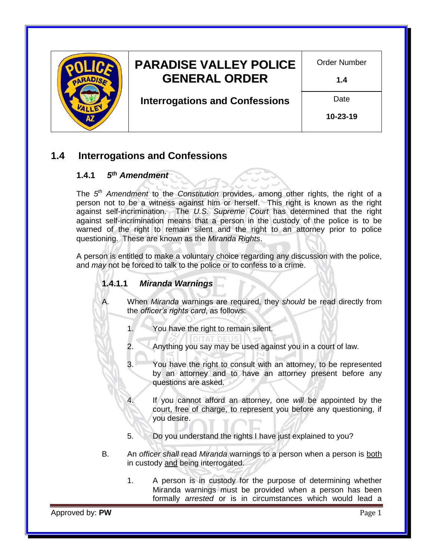

### **1.4 Interrogations and Confessions**

#### **1.4.1** *5 th [Amendment](https://www.gpo.gov/fdsys/pkg/GPO-CONAN-1992/pdf/GPO-CONAN-1992-10-6.pdf)*

The *5 th [Amendment](https://www.gpo.gov/fdsys/pkg/GPO-CONAN-1992/pdf/GPO-CONAN-1992-10-6.pdf)* to the *[Constitution](http://www.azleg.gov/constitution/)* provides, among other rights, the right of a person not to be a witness against him or herself. This right is known as the right against self-incrimination. The *[U.S. Supreme Court](https://www.supremecourt.gov/)* has determined that the right against self-incrimination means that a person in the custody of the police is to be warned of the right to remain silent and the right to an attorney prior to police questioning. These are known as the *[Miranda](http://www.uscourts.gov/educational-resources/educational-activities/facts-and-case-summary-miranda-v-arizona) Rights*.

A person is entitled to make a voluntary choice regarding any discussion with the police, and *may* not be forced to talk to the police or to confess to a crime.

#### **1.4.1.1** *[Miranda Warnings](http://www.uscourts.gov/educational-resources/educational-activities/facts-and-case-summary-miranda-v-arizona)*

A. When *[Miranda](http://www.uscourts.gov/educational-resources/educational-activities/facts-and-case-summary-miranda-v-arizona)* warnings are required, they *should* be read directly from the *[officer's rights card](file://///NWDSS/PD_Info/01-%20PD%20General%20Orders/Supporting%20Policy%20Documents/Miranda%20Warning%20Card.pdf)*, as follows:

- 1. You have the right to remain silent.
- 2. Anything you say may be used against you in a court of law.
- 3. You have the right to consult with an attorney, to be represented by an attorney and to have an attorney present before any questions are asked.
- 4. If you cannot afford an attorney, one *will* be appointed by the court, free of charge, to represent you before any questioning, if you desire.
- 5. Do you understand the rights I have just explained to you?
- B. An *officer shall* read *[Miranda](http://www.uscourts.gov/educational-resources/educational-activities/facts-and-case-summary-miranda-v-arizona)* warnings to a person when a person is both in custody and being interrogated.
	- 1. A person is in custody for the purpose of determining whether Miranda warnings must be provided when a person has been formally *arrested* or is in circumstances which would lead a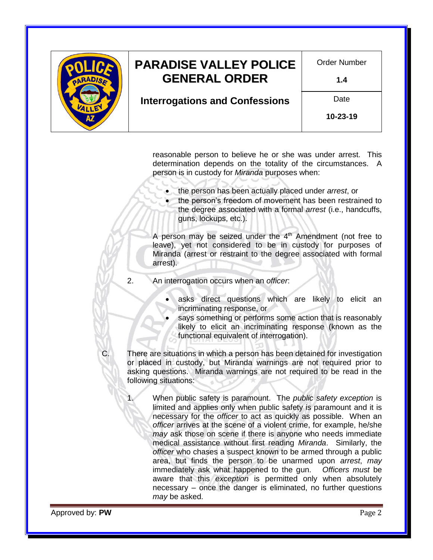

reasonable person to believe he or she was under arrest. This determination depends on the totality of the circumstances. A person is in custody for *[Miranda](http://www.uscourts.gov/educational-resources/educational-activities/facts-and-case-summary-miranda-v-arizona)* purposes when:

- the person has been actually placed under *arrest*, or
- the person's freedom of movement has been restrained to the degree associated with a formal *arrest* (i.e., handcuffs, guns, lockups, etc.).

A person may be seized under the  $4<sup>th</sup>$  Amendment (not free to leave), yet not considered to be in custody for purposes of Miranda (arrest or restraint to the degree associated with formal arrest).

- 2. An interrogation occurs when an *officer*:
	- asks direct questions which are likely to elicit an incriminating response, or
	- says something or performs some action that is reasonably likely to elicit an incriminating response (known as the functional equivalent of interrogation).
- C. There are situations in which a person has been detained for investigation or placed in custody, but Miranda warnings are not required prior to asking questions. Miranda warnings are not required to be read in the following situations:
	- 1. When public safety is paramount. The *[public safety exception](https://leb.fbi.gov/articles/legal-digest/legal-digest-the-public-safety-exception-to-miranda)* is limited and applies only when public safety is paramount and it is necessary for the *officer* to act as quickly as possible. When an *officer* arrives at the scene of a violent crime, for example, he/she *may* ask those on scene if there is anyone who needs immediate medical assistance without first reading *[Miranda](http://www.uscourts.gov/educational-resources/educational-activities/facts-and-case-summary-miranda-v-arizona)*. Similarly, the *officer* who chases a suspect known to be armed through a public area, but finds the person to be unarmed upon *arrest*, *may* immediately ask what happened to the gun. *Officers must* be aware that this *[exception](https://leb.fbi.gov/articles/legal-digest/legal-digest-the-public-safety-exception-to-miranda)* is permitted only when absolutely necessary – once the danger is eliminated, no further questions *may* be asked.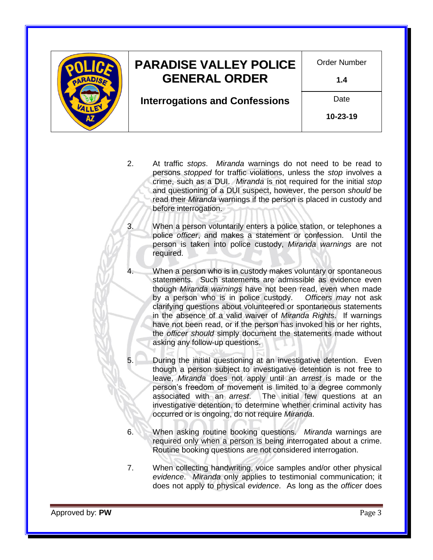

# **PARADISE VALLEY POLICE GENERAL ORDER**

Order Number

**1.4**

**Interrogations and Confessions**

**10-23-19**

Date

- 2. At traffic *stops*. *[Miranda](http://www.uscourts.gov/educational-resources/educational-activities/facts-and-case-summary-miranda-v-arizona)* warnings do not need to be read to persons *stopped* for traffic violations, unless the *stop* involves a crime, such as a DUI. *[Miranda](http://www.uscourts.gov/educational-resources/educational-activities/facts-and-case-summary-miranda-v-arizona)* is not required for the initial *stop* and questioning of a DUI suspect, however, the person *should* be read their *[Miranda](http://www.uscourts.gov/educational-resources/educational-activities/facts-and-case-summary-miranda-v-arizona)* warnings if the person is placed in custody and before interrogation.
- 3. When a person voluntarily enters a police station, or telephones a police *officer*, and makes a statement or confession. Until the person is taken into police custody, *Miranda warnings* are not required.
- 4. When a person who is in custody makes voluntary or spontaneous statements. Such statements are admissible as evidence even though *Miranda warnings* have not been read, even when made by a person who is in police custody. *Officers may* not ask clarifying questions about volunteered or spontaneous statements in the absence of a valid waiver of *[Miranda](http://www.uscourts.gov/educational-resources/educational-activities/facts-and-case-summary-miranda-v-arizona) Rights*. If warnings have not been read, or if the person has invoked his or her rights, the *officer should* simply document the statements made without asking any follow-up questions.
- 5. During the initial questioning at an investigative detention. Even though a person subject to investigative detention is not free to leave, *[Miranda](http://www.uscourts.gov/educational-resources/educational-activities/facts-and-case-summary-miranda-v-arizona)* does not apply until an *arrest* is made or the person's freedom of movement is limited to a degree commonly associated with an *arrest*. The initial few questions at an investigative detention, to determine whether criminal activity has occurred or is ongoing, do not require *[Miranda](http://www.uscourts.gov/educational-resources/educational-activities/facts-and-case-summary-miranda-v-arizona)*.
- 6. When asking routine booking questions. *[Miranda](http://www.uscourts.gov/educational-resources/educational-activities/facts-and-case-summary-miranda-v-arizona)* warnings are required only when a person is being interrogated about a crime. Routine booking questions are not considered interrogation.
- 7. When collecting handwriting, voice samples and/or other physical *evidence*. *[Miranda](http://www.uscourts.gov/educational-resources/educational-activities/facts-and-case-summary-miranda-v-arizona)* only applies to testimonial communication; it does not apply to physical *evidence*. As long as the *officer* does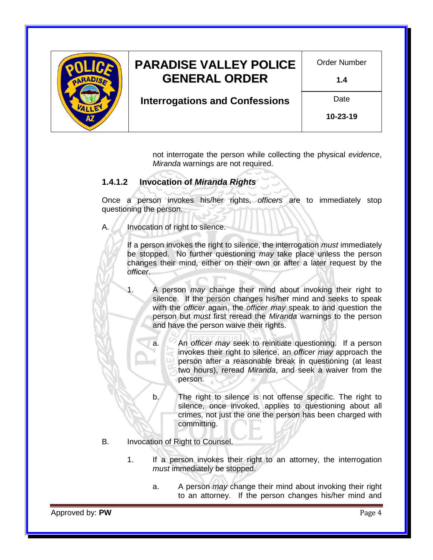

## **PARADISE VALLEY POLICE GENERAL ORDER**

Order Number

**1.4**

**Interrogations and Confessions**

**10-23-19**

Date

not interrogate the person while collecting the physical *evidence*, *[Miranda](http://www.uscourts.gov/educational-resources/educational-activities/facts-and-case-summary-miranda-v-arizona)* warnings are not required.

#### **1.4.1.2 Invocation of** *[Miranda](http://www.uscourts.gov/educational-resources/educational-activities/facts-and-case-summary-miranda-v-arizona) Rights*

Once a person invokes his/her rights, *officers* are to immediately stop questioning the person.

A. Invocation of right to silence.

If a person invokes the right to silence, the interrogation *must* immediately be stopped. No further questioning *may* take place unless the person changes their mind, either on their own or after a later request by the *officer*.

1. A person *may* change their mind about invoking their right to silence. If the person changes his/her mind and seeks to speak with the *officer* again, the *officer may* speak to and question the person but *must* first reread the *[Miranda](http://www.uscourts.gov/educational-resources/educational-activities/facts-and-case-summary-miranda-v-arizona)* warnings to the person and have the person waive their rights.

a. An *officer may* seek to reinitiate questioning. If a person invokes their right to silence, an *officer may* approach the person after a reasonable break in questioning (at least two hours), reread *[Miranda](http://www.uscourts.gov/educational-resources/educational-activities/facts-and-case-summary-miranda-v-arizona)*, and seek a waiver from the person.

b. The right to silence is not offense specific. The right to silence, once invoked, applies to questioning about all crimes, not just the one the person has been charged with committing.

- B. Invocation of Right to Counsel.
	- 1. If a person invokes their right to an attorney, the interrogation *must* immediately be stopped.
		- a. A person *may* change their mind about invoking their right to an attorney. If the person changes his/her mind and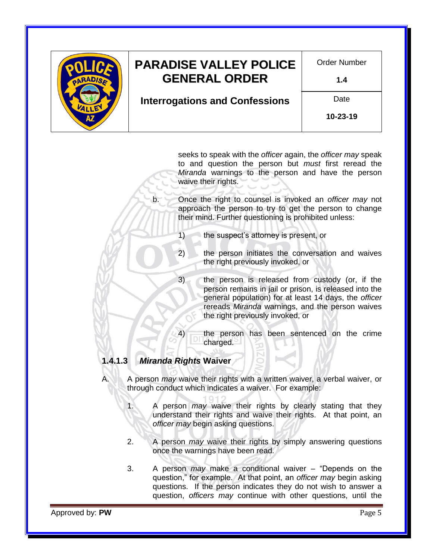|  | <b>PARADISE VALLEY POLICE</b><br><b>GENERAL ORDER</b> | Order Number<br>1.4    |
|--|-------------------------------------------------------|------------------------|
|  | <b>Interrogations and Confessions</b>                 | Date<br>$10 - 23 - 19$ |
|  |                                                       |                        |

seeks to speak with the *officer* again, the *officer may* speak to and question the person but *must* first reread the *[Miranda](http://www.uscourts.gov/educational-resources/educational-activities/facts-and-case-summary-miranda-v-arizona)* warnings to the person and have the person waive their rights.

b. Once the right to counsel is invoked an *officer may* not approach the person to try to get the person to change their mind. Further questioning is prohibited unless:

1) the suspect's attorney is present, or

2) the person initiates the conversation and waives the right previously invoked, or

- 3) the person is released from custody (or, if the person remains in jail or prison, is released into the general population) for at least 14 days, the *officer* rereads *[Miranda](http://www.uscourts.gov/educational-resources/educational-activities/facts-and-case-summary-miranda-v-arizona)* warnings, and the person waives the right previously invoked, or
- 4) the person has been sentenced on the crime charged.

#### **1.4.1.3** *[Miranda Rights](http://www.uscourts.gov/educational-resources/educational-activities/facts-and-case-summary-miranda-v-arizona)* **Waiver**

- A. A person *may* waive their rights with a written waiver, a verbal waiver, or through conduct which indicates a waiver. For example:
	- 1. A person *may* waive their rights by clearly stating that they understand their rights and waive their rights. At that point, an *officer may* begin asking questions.
	- 2. A person *may* waive their rights by simply answering questions once the warnings have been read.
	- 3. A person *may* make a conditional waiver "Depends on the question," for example. At that point, an *officer may* begin asking questions. If the person indicates they do not wish to answer a question, *officers may* continue with other questions, until the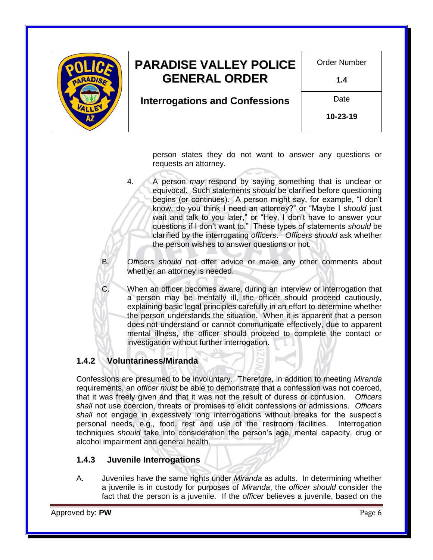

person states they do not want to answer any questions or requests an attorney.

4. A person *may* respond by saying something that is unclear or equivocal. Such statements *should* be clarified before questioning begins (or continues). A person might say, for example, "I don't know, do you think I need an attorney?" or "Maybe I *should* just wait and talk to you later," or "Hey, I don't have to answer your questions if I don't want to." These types of statements *should* be clarified by the interrogating *officers*. *Officers should* ask whether the person wishes to answer questions or not.

B. *Officers should* not offer advice or make any other comments about whether an attorney is needed.

C. When an officer becomes aware, during an interview or interrogation that a person may be mentally ill, the officer should proceed cautiously, explaining basic legal principles carefully in an effort to determine whether the person understands the situation. When it is apparent that a person does not understand or cannot communicate effectively, due to apparent mental illness, the officer should proceed to complete the contact or investigation without further interrogation.

### **1.4.2 Voluntariness/Miranda**

Confessions are presumed to be involuntary. Therefore, in addition to meeting *[Miranda](http://www.uscourts.gov/educational-resources/educational-activities/facts-and-case-summary-miranda-v-arizona)* requirements, an *officer must* be able to demonstrate that a confession was not coerced, that it was freely given and that it was not the result of duress or confusion. *Officers shall* not use coercion, threats or promises to elicit confessions or admissions. *Officers shall* not engage in excessively long interrogations without breaks for the suspect's personal needs, e.g., food, rest and use of the restroom facilities. Interrogation techniques *should* take into consideration the person's age, mental capacity, drug or alcohol impairment and general health.

#### **1.4.3 Juvenile Interrogations**

A. Juveniles have the same rights under *[Miranda](http://www.uscourts.gov/educational-resources/educational-activities/facts-and-case-summary-miranda-v-arizona)* as adults. In determining whether a juvenile is in custody for purposes of *[Miranda](http://www.uscourts.gov/educational-resources/educational-activities/facts-and-case-summary-miranda-v-arizona)*, the *officer should* consider the fact that the person is a juvenile. If the *officer* believes a juvenile, based on the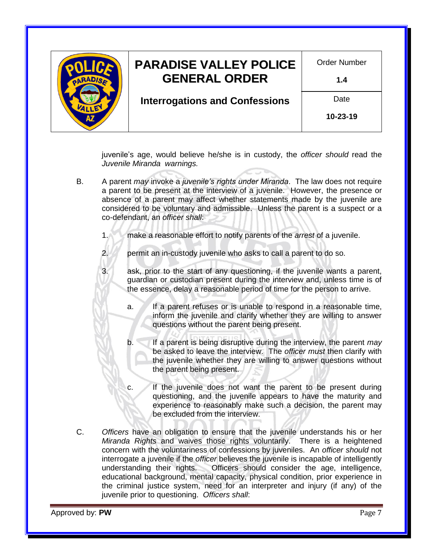

juvenile's age, would believe he/she is in custody, the *officer should* read the *[Juvenile Miranda](file://///NWDSS/PD_Info/01-%20PD%20General%20Orders/Supporting%20Policy%20Documents/Juvenile%20Miranda%20Warning.pdf) warnings.*

- B. A parent *may* invoke a *[juvenile's rights under Miranda](file://///NWDSS/PD_Info/01-%20PD%20General%20Orders/Supporting%20Policy%20Documents/Juvenile%20Miranda%20Warning.pdf)*. The law does not require a parent to be present at the interview of a juvenile. However, the presence or absence of a parent may affect whether statements made by the juvenile are considered to be voluntary and admissible. Unless the parent is a suspect or a co-defendant, an *officer shall*:
	- 1. make a reasonable effort to notify parents of the *arrest* of a juvenile.
	- 2. permit an in-custody juvenile who asks to call a parent to do so.
	- 3. ask, prior to the start of any questioning, if the juvenile wants a parent, guardian or custodian present during the interview and, unless time is of the essence, delay a reasonable period of time for the person to arrive.
		- a. If a parent refuses or is unable to respond in a reasonable time, inform the juvenile and clarify whether they are willing to answer questions without the parent being present.
		- b. If a parent is being disruptive during the interview, the parent *may* be asked to leave the interview. The *officer must* then clarify with the juvenile whether they are willing to answer questions without the parent being present.
		- c. If the juvenile does not want the parent to be present during questioning, and the juvenile appears to have the maturity and experience to reasonably make such a decision, the parent may be excluded from the interview.
- C. *Officers* have an obligation to ensure that the juvenile understands his or her *[Miranda](file://///NWDSS/PD_Info/01-%20PD%20General%20Orders/Supporting%20Policy%20Documents/Juvenile%20Miranda%20Warning.pdf) Rights* and waives those rights voluntarily. There is a heightened concern with the voluntariness of confessions by juveniles. An *officer should* not interrogate a juvenile if the *officer* believes the juvenile is incapable of intelligently understanding their rights. Officers should consider the age, intelligence, educational background, mental capacity, physical condition, prior experience in the criminal justice system, need for an interpreter and injury (if any) of the juvenile prior to questioning. *Officers shall*: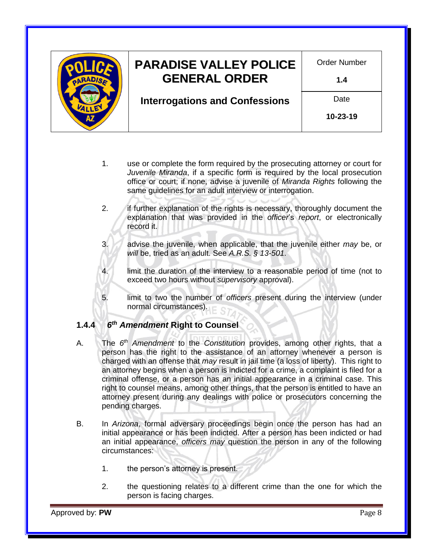

- 1. use or complete the form required by the prosecuting attorney or court for *[Juvenile Miranda](file://///NWDSS/PD_Info/01-%20PD%20General%20Orders/Supporting%20Policy%20Documents/Juvenile%20Miranda%20Warning.pdf)*, if a specific form is required by the local prosecution office or court; if none, advise a juvenile of *[Miranda](file://///NWDSS/PD_Info/01-%20PD%20General%20Orders/Supporting%20Policy%20Documents/Juvenile%20Miranda%20Warning.pdf) Rights* following the same guidelines for an adult interview or interrogation.
- 2. if further explanation of the rights is necessary, thoroughly document the explanation that was provided in the *officer*'s *report*, or electronically record it.
- 3. advise the juvenile, when applicable, that the juvenile either *may* be, or *will* be, tried as an adult. See *[A.R.S. § 13-501](http://www.azleg.gov/viewdocument/?docName=http://www.azleg.gov/ars/13/00501.htm)*.
- 4. limit the duration of the interview to a reasonable period of time (not to exceed two hours without *supervisory* approval).
- 5. limit to two the number of *officers* present during the interview (under normal circumstances).

#### **1.4.4** *6 th [Amendment](https://www.gpo.gov/fdsys/pkg/GPO-CONAN-2002/pdf/GPO-CONAN-2002-9-7.pdf)* **Right to Counsel**

- A. The *6 th [Amendment](https://www.gpo.gov/fdsys/pkg/GPO-CONAN-2002/pdf/GPO-CONAN-2002-9-7.pdf)* to the *[Constitution](http://www.azleg.gov/constitution/)* provides, among other rights, that a person has the right to the assistance of an attorney whenever a person is charged with an offense that *may* result in jail time (a loss of liberty). This right to an attorney begins when a person is indicted for a crime, a complaint is filed for a criminal offense, or a person has an initial appearance in a criminal case. This right to counsel means, among other things, that the person is entitled to have an attorney present during any dealings with police or prosecutors concerning the pending charges.
- B. In *[Arizona](State%20of%20Arizona)*, formal adversary proceedings begin once the person has had an initial appearance or has been indicted. After a person has been indicted or had an initial appearance, *officers may* question the person in any of the following circumstances:
	- 1. the person's attorney is present.
	- 2. the questioning relates to a different crime than the one for which the person is facing charges.